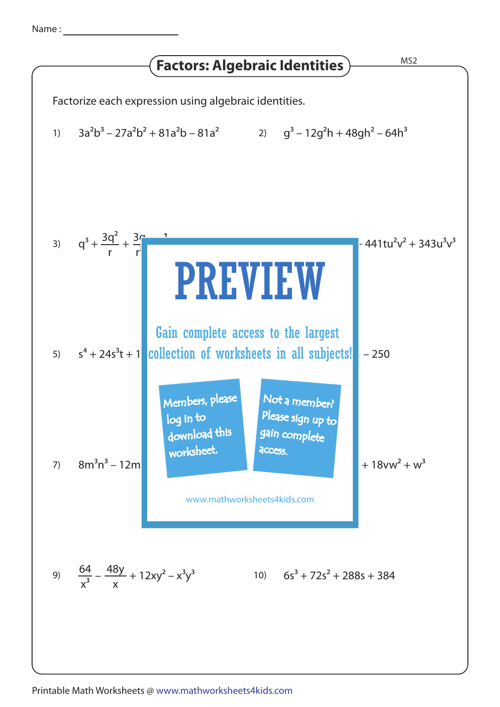